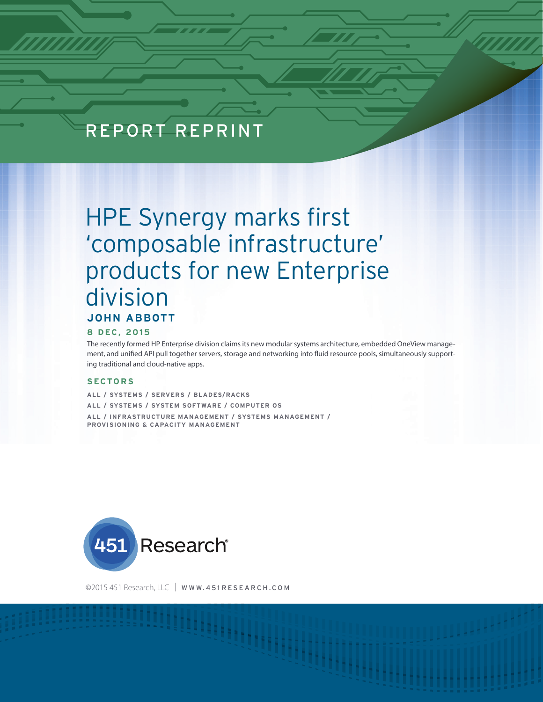# REPORT REPRINT

# HPE Synergy marks first 'composable infrastructure' products for new Enterprise division

# **JOHN ABBOTT**

#### **8 DEC, 2015**

The recently formed HP Enterprise division claims its new modular systems architecture, embedded OneView management, and unified API pull together servers, storage and networking into fluid resource pools, simultaneously supporting traditional and cloud-native apps.

#### **SECTORS**

**ALL / SYSTEMS / SERVERS / BLADES/RACKS ALL / SYSTEMS / SYSTEM SOFTWARE / COMPUTER OS ALL / INFRASTRUCTURE MANAGEMENT / SYSTEMS MANAGEMENT / PROVISIONING & CAPACITY MANAGEMENT**



©2015 451 Research, LLC | WWW.451 RESEARCH.COM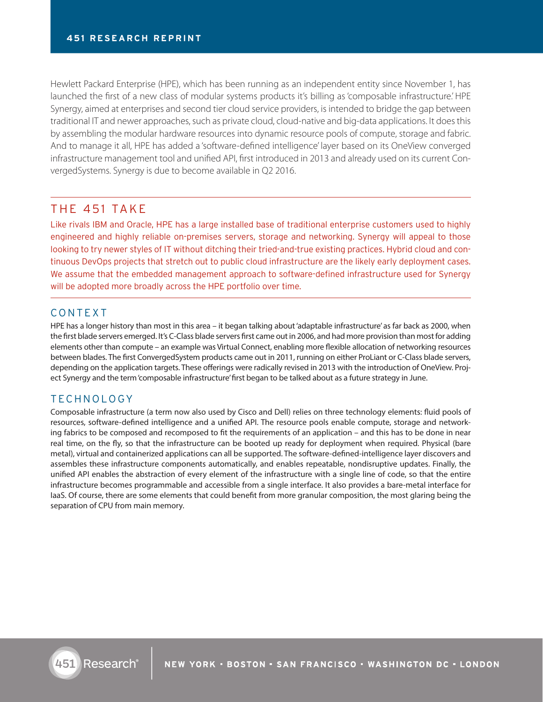Hewlett Packard Enterprise (HPE), which has been running as an independent entity since November 1, has launched the first of a new class of modular systems products it's billing as 'composable infrastructure.' HPE Synergy, aimed at enterprises and second tier cloud service providers, is intended to bridge the gap between traditional IT and newer approaches, such as private cloud, cloud-native and big-data applications. It does this by assembling the modular hardware resources into dynamic resource pools of compute, storage and fabric. And to manage it all, HPE has added a 'software-defined intelligence' layer based on its OneView converged infrastructure management tool and unified API, first introduced in 2013 and already used on its current ConvergedSystems. Synergy is due to become available in Q2 2016.

## THE 451 TAKE

Like rivals IBM and Oracle, HPE has a large installed base of traditional enterprise customers used to highly engineered and highly reliable on-premises servers, storage and networking. Synergy will appeal to those looking to try newer styles of IT without ditching their tried-and-true existing practices. Hybrid cloud and continuous DevOps projects that stretch out to public cloud infrastructure are the likely early deployment cases. We assume that the embedded management approach to software-defined infrastructure used for Synergy will be adopted more broadly across the HPE portfolio over time.

### CONTEXT

HPE has a longer history than most in this area – it began talking about 'adaptable infrastructure' as far back as 2000, when the first blade servers emerged. It's C-Class blade servers first came out in 2006, and had more provision than most for adding elements other than compute – an example was Virtual Connect, enabling more flexible allocation of networking resources between blades. The first ConvergedSystem products came out in 2011, running on either ProLiant or C-Class blade servers, depending on the application targets. These offerings were radically revised in 2013 with the introduction of OneView. Project Synergy and the term 'composable infrastructure' first began to be talked about as a future strategy in June.

#### TECHNOLOGY

Composable infrastructure (a term now also used by Cisco and Dell) relies on three technology elements: fluid pools of resources, software-defined intelligence and a unified API. The resource pools enable compute, storage and networking fabrics to be composed and recomposed to fit the requirements of an application – and this has to be done in near real time, on the fly, so that the infrastructure can be booted up ready for deployment when required. Physical (bare metal), virtual and containerized applications can all be supported. The software-defined-intelligence layer discovers and assembles these infrastructure components automatically, and enables repeatable, nondisruptive updates. Finally, the unified API enables the abstraction of every element of the infrastructure with a single line of code, so that the entire infrastructure becomes programmable and accessible from a single interface. It also provides a bare-metal interface for IaaS. Of course, there are some elements that could benefit from more granular composition, the most glaring being the separation of CPU from main memory.

NEW YORK - BOSTON - SAN FRANCISCO - WASHINGTON DC - LONDON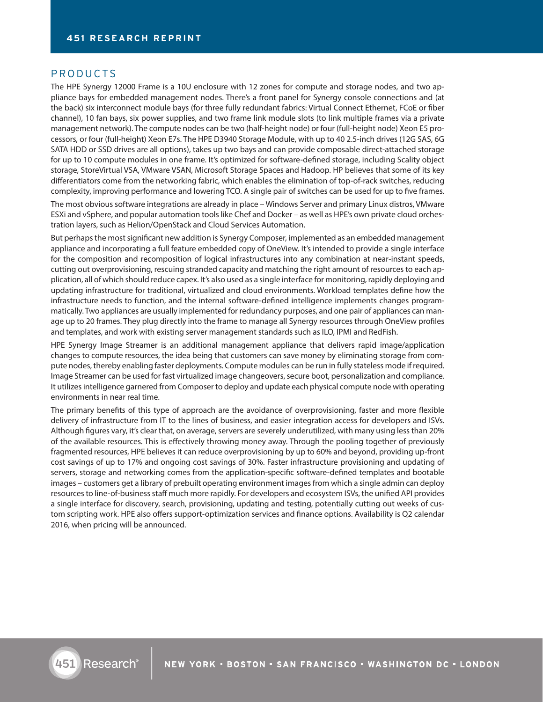#### PRODUCTS

The HPE Synergy 12000 Frame is a 10U enclosure with 12 zones for compute and storage nodes, and two appliance bays for embedded management nodes. There's a front panel for Synergy console connections and (at the back) six interconnect module bays (for three fully redundant fabrics: Virtual Connect Ethernet, FCoE or fiber channel), 10 fan bays, six power supplies, and two frame link module slots (to link multiple frames via a private management network). The compute nodes can be two (half-height node) or four (full-height node) Xeon E5 processors, or four (full-height) Xeon E7s. The HPE D3940 Storage Module, with up to 40 2.5-inch drives (12G SAS, 6G SATA HDD or SSD drives are all options), takes up two bays and can provide composable direct-attached storage for up to 10 compute modules in one frame. It's optimized for software-defined storage, including Scality object storage, StoreVirtual VSA, VMware VSAN, Microsoft Storage Spaces and Hadoop. HP believes that some of its key differentiators come from the networking fabric, which enables the elimination of top-of-rack switches, reducing complexity, improving performance and lowering TCO. A single pair of switches can be used for up to five frames.

The most obvious software integrations are already in place – Windows Server and primary Linux distros, VMware ESXi and vSphere, and popular automation tools like Chef and Docker – as well as HPE's own private cloud orchestration layers, such as Helion/OpenStack and Cloud Services Automation.

But perhaps the most significant new addition is Synergy Composer, implemented as an embedded management appliance and incorporating a full feature embedded copy of OneView. It's intended to provide a single interface for the composition and recomposition of logical infrastructures into any combination at near-instant speeds, cutting out overprovisioning, rescuing stranded capacity and matching the right amount of resources to each application, all of which should reduce capex. It's also used as a single interface for monitoring, rapidly deploying and updating infrastructure for traditional, virtualized and cloud environments. Workload templates define how the infrastructure needs to function, and the internal software-defined intelligence implements changes programmatically. Two appliances are usually implemented for redundancy purposes, and one pair of appliances can manage up to 20 frames. They plug directly into the frame to manage all Synergy resources through OneView profiles and templates, and work with existing server management standards such as ILO, IPMI and RedFish.

HPE Synergy Image Streamer is an additional management appliance that delivers rapid image/application changes to compute resources, the idea being that customers can save money by eliminating storage from compute nodes, thereby enabling faster deployments. Compute modules can be run in fully stateless mode if required. Image Streamer can be used for fast virtualized image changeovers, secure boot, personalization and compliance. It utilizes intelligence garnered from Composer to deploy and update each physical compute node with operating environments in near real time.

The primary benefits of this type of approach are the avoidance of overprovisioning, faster and more flexible delivery of infrastructure from IT to the lines of business, and easier integration access for developers and ISVs. Although figures vary, it's clear that, on average, servers are severely underutilized, with many using less than 20% of the available resources. This is effectively throwing money away. Through the pooling together of previously fragmented resources, HPE believes it can reduce overprovisioning by up to 60% and beyond, providing up-front cost savings of up to 17% and ongoing cost savings of 30%. Faster infrastructure provisioning and updating of servers, storage and networking comes from the application-specific software-defined templates and bootable images – customers get a library of prebuilt operating environment images from which a single admin can deploy resources to line-of-business staff much more rapidly. For developers and ecosystem ISVs, the unified API provides a single interface for discovery, search, provisioning, updating and testing, potentially cutting out weeks of custom scripting work. HPE also offers support-optimization services and finance options. Availability is Q2 calendar 2016, when pricing will be announced.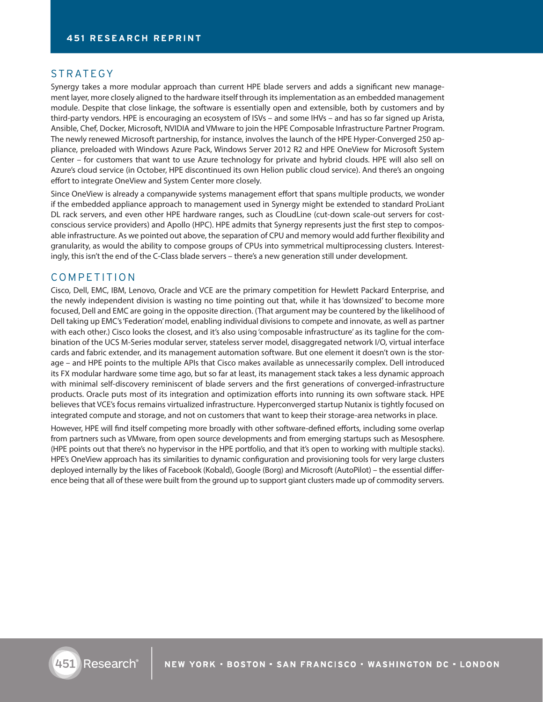### STRATEGY

Synergy takes a more modular approach than current HPE blade servers and adds a significant new management layer, more closely aligned to the hardware itself through its implementation as an embedded management module. Despite that close linkage, the software is essentially open and extensible, both by customers and by third-party vendors. HPE is encouraging an ecosystem of ISVs – and some IHVs – and has so far signed up Arista, Ansible, Chef, Docker, Microsoft, NVIDIA and VMware to join the HPE Composable Infrastructure Partner Program. The newly renewed Microsoft partnership, for instance, involves the launch of the HPE Hyper-Converged 250 appliance, preloaded with Windows Azure Pack, Windows Server 2012 R2 and HPE OneView for Microsoft System Center – for customers that want to use Azure technology for private and hybrid clouds. HPE will also sell on Azure's cloud service (in October, HPE discontinued its own Helion public cloud service). And there's an ongoing effort to integrate OneView and System Center more closely.

Since OneView is already a companywide systems management effort that spans multiple products, we wonder if the embedded appliance approach to management used in Synergy might be extended to standard ProLiant DL rack servers, and even other HPE hardware ranges, such as CloudLine (cut-down scale-out servers for costconscious service providers) and Apollo (HPC). HPE admits that Synergy represents just the first step to composable infrastructure. As we pointed out above, the separation of CPU and memory would add further flexibility and granularity, as would the ability to compose groups of CPUs into symmetrical multiprocessing clusters. Interestingly, this isn't the end of the C-Class blade servers – there's a new generation still under development.

#### COMPETITION

Cisco, Dell, EMC, IBM, Lenovo, Oracle and VCE are the primary competition for Hewlett Packard Enterprise, and the newly independent division is wasting no time pointing out that, while it has 'downsized' to become more focused, Dell and EMC are going in the opposite direction. (That argument may be countered by the likelihood of Dell taking up EMC's 'Federation' model, enabling individual divisions to compete and innovate, as well as partner with each other.) Cisco looks the closest, and it's also using 'composable infrastructure' as its tagline for the combination of the UCS M-Series modular server, stateless server model, disaggregated network I/O, virtual interface cards and fabric extender, and its management automation software. But one element it doesn't own is the storage – and HPE points to the multiple APIs that Cisco makes available as unnecessarily complex. Dell introduced its FX modular hardware some time ago, but so far at least, its management stack takes a less dynamic approach with minimal self-discovery reminiscent of blade servers and the first generations of converged-infrastructure products. Oracle puts most of its integration and optimization efforts into running its own software stack. HPE believes that VCE's focus remains virtualized infrastructure. Hyperconverged startup Nutanix is tightly focused on integrated compute and storage, and not on customers that want to keep their storage-area networks in place.

However, HPE will find itself competing more broadly with other software-defined efforts, including some overlap from partners such as VMware, from open source developments and from emerging startups such as Mesosphere. (HPE points out that there's no hypervisor in the HPE portfolio, and that it's open to working with multiple stacks). HPE's OneView approach has its similarities to dynamic configuration and provisioning tools for very large clusters deployed internally by the likes of Facebook (Kobald), Google (Borg) and Microsoft (AutoPilot) – the essential difference being that all of these were built from the ground up to support giant clusters made up of commodity servers.